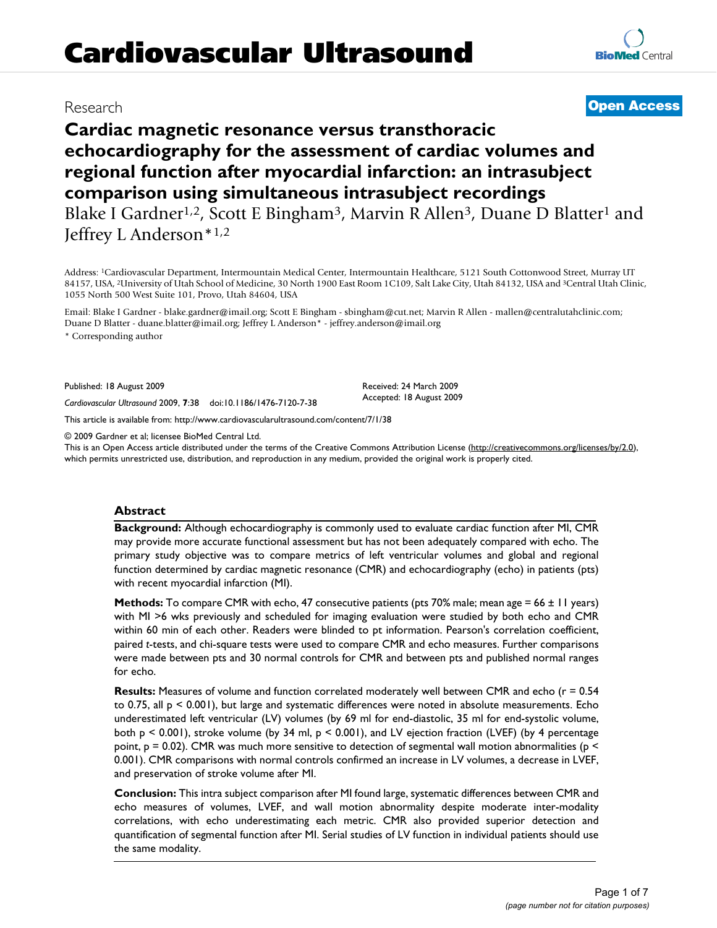## Research

# **Cardiac magnetic resonance versus transthoracic echocardiography for the assessment of cardiac volumes and regional function after myocardial infarction: an intrasubject comparison using simultaneous intrasubject recordings**

Blake I Gardner<sup>1,2</sup>, Scott E Bingham<sup>3</sup>, Marvin R Allen<sup>3</sup>, Duane D Blatter<sup>1</sup> and Jeffrey L Anderson\*1,2

Address: 1Cardiovascular Department, Intermountain Medical Center, Intermountain Healthcare, 5121 South Cottonwood Street, Murray UT 84157, USA, <sup>2</sup>University of Utah School of Medicine, 30 North 1900 East Room 1C109, Salt Lake City, Utah 84132, USA and <sup>3</sup>Central Utah Clinic, 1055 North 500 West Suite 101, Provo, Utah 84604, USA

Email: Blake I Gardner - blake.gardner@imail.org; Scott E Bingham - sbingham@cut.net; Marvin R Allen - mallen@centralutahclinic.com; Duane D Blatter - duane.blatter@imail.org; Jeffrey L Anderson\* - jeffrey.anderson@imail.org

\* Corresponding author

Published: 18 August 2009

*Cardiovascular Ultrasound* 2009, **7**:38 doi:10.1186/1476-7120-7-38

[This article is available from: http://www.cardiovascularultrasound.com/content/7/1/38](http://www.cardiovascularultrasound.com/content/7/1/38)

© 2009 Gardner et al; licensee BioMed Central Ltd.

This is an Open Access article distributed under the terms of the Creative Commons Attribution License [\(http://creativecommons.org/licenses/by/2.0\)](http://creativecommons.org/licenses/by/2.0), which permits unrestricted use, distribution, and reproduction in any medium, provided the original work is properly cited.

### **Abstract**

**Background:** Although echocardiography is commonly used to evaluate cardiac function after MI, CMR may provide more accurate functional assessment but has not been adequately compared with echo. The primary study objective was to compare metrics of left ventricular volumes and global and regional function determined by cardiac magnetic resonance (CMR) and echocardiography (echo) in patients (pts) with recent myocardial infarction (MI).

**Methods:** To compare CMR with echo, 47 consecutive patients (pts 70% male; mean age = 66 ± 11 years) with MI >6 wks previously and scheduled for imaging evaluation were studied by both echo and CMR within 60 min of each other. Readers were blinded to pt information. Pearson's correlation coefficient, paired *t*-tests, and chi-square tests were used to compare CMR and echo measures. Further comparisons were made between pts and 30 normal controls for CMR and between pts and published normal ranges for echo.

**Results:** Measures of volume and function correlated moderately well between CMR and echo (r = 0.54 to 0.75, all p < 0.001), but large and systematic differences were noted in absolute measurements. Echo underestimated left ventricular (LV) volumes (by 69 ml for end-diastolic, 35 ml for end-systolic volume, both p < 0.001), stroke volume (by 34 ml, p < 0.001), and LV ejection fraction (LVEF) (by 4 percentage point,  $p = 0.02$ ). CMR was much more sensitive to detection of segmental wall motion abnormalities ( $p <$ 0.001). CMR comparisons with normal controls confirmed an increase in LV volumes, a decrease in LVEF, and preservation of stroke volume after MI.

**Conclusion:** This intra subject comparison after MI found large, systematic differences between CMR and echo measures of volumes, LVEF, and wall motion abnormality despite moderate inter-modality correlations, with echo underestimating each metric. CMR also provided superior detection and quantification of segmental function after MI. Serial studies of LV function in individual patients should use the same modality.

## **[Open Access](http://www.biomedcentral.com/info/about/charter/)**

Accepted: 18 August 2009

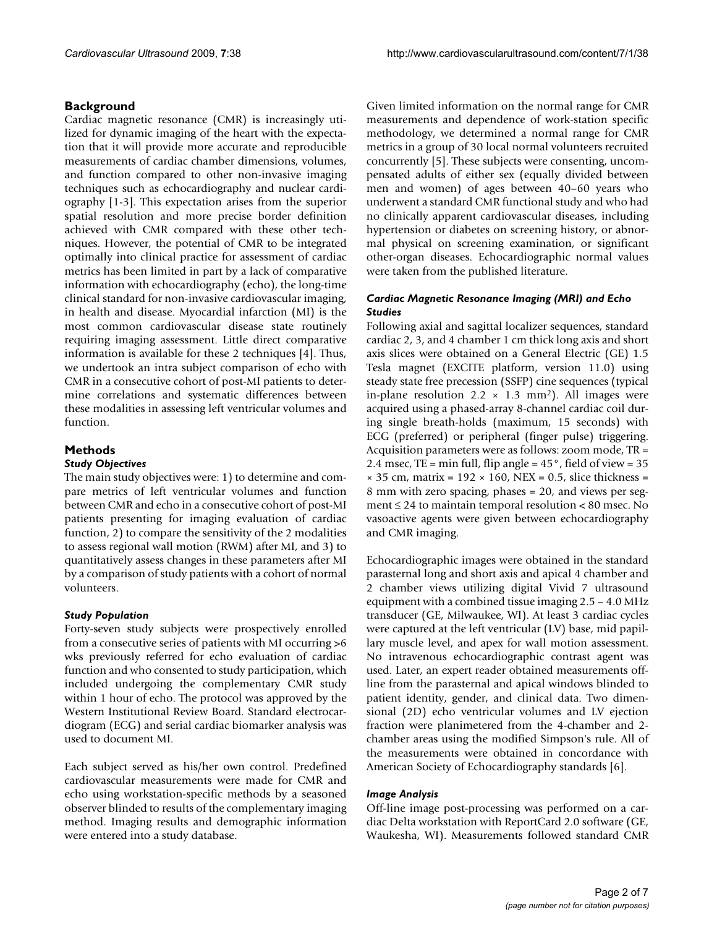## **Background**

Cardiac magnetic resonance (CMR) is increasingly utilized for dynamic imaging of the heart with the expectation that it will provide more accurate and reproducible measurements of cardiac chamber dimensions, volumes, and function compared to other non-invasive imaging techniques such as echocardiography and nuclear cardiography [[1](#page-5-0)[-3](#page-5-1)]. This expectation arises from the superior spatial resolution and more precise border definition achieved with CMR compared with these other techniques. However, the potential of CMR to be integrated optimally into clinical practice for assessment of cardiac metrics has been limited in part by a lack of comparative information with echocardiography (echo), the long-time clinical standard for non-invasive cardiovascular imaging, in health and disease. Myocardial infarction (MI) is the most common cardiovascular disease state routinely requiring imaging assessment. Little direct comparative information is available for these 2 techniques [[4](#page-5-2)]. Thus, we undertook an intra subject comparison of echo with CMR in a consecutive cohort of post-MI patients to determine correlations and systematic differences between these modalities in assessing left ventricular volumes and function.

## **Methods**

#### *Study Objectives*

The main study objectives were: 1) to determine and compare metrics of left ventricular volumes and function between CMR and echo in a consecutive cohort of post-MI patients presenting for imaging evaluation of cardiac function, 2) to compare the sensitivity of the 2 modalities to assess regional wall motion (RWM) after MI, and 3) to quantitatively assess changes in these parameters after MI by a comparison of study patients with a cohort of normal volunteers.

### *Study Population*

Forty-seven study subjects were prospectively enrolled from a consecutive series of patients with MI occurring >6 wks previously referred for echo evaluation of cardiac function and who consented to study participation, which included undergoing the complementary CMR study within 1 hour of echo. The protocol was approved by the Western Institutional Review Board. Standard electrocardiogram (ECG) and serial cardiac biomarker analysis was used to document MI.

Each subject served as his/her own control. Predefined cardiovascular measurements were made for CMR and echo using workstation-specific methods by a seasoned observer blinded to results of the complementary imaging method. Imaging results and demographic information were entered into a study database.

Given limited information on the normal range for CMR measurements and dependence of work-station specific methodology, we determined a normal range for CMR metrics in a group of 30 local normal volunteers recruited concurrently [\[5](#page-5-3)]. These subjects were consenting, uncompensated adults of either sex (equally divided between men and women) of ages between 40–60 years who underwent a standard CMR functional study and who had no clinically apparent cardiovascular diseases, including hypertension or diabetes on screening history, or abnormal physical on screening examination, or significant other-organ diseases. Echocardiographic normal values were taken from the published literature.

## *Cardiac Magnetic Resonance Imaging (MRI) and Echo Studies*

Following axial and sagittal localizer sequences, standard cardiac 2, 3, and 4 chamber 1 cm thick long axis and short axis slices were obtained on a General Electric (GE) 1.5 Tesla magnet (EXCITE platform, version 11.0) using steady state free precession (SSFP) cine sequences (typical in-plane resolution  $2.2 \times 1.3$  mm<sup>2</sup>). All images were acquired using a phased-array 8-channel cardiac coil during single breath-holds (maximum, 15 seconds) with ECG (preferred) or peripheral (finger pulse) triggering. Acquisition parameters were as follows: zoom mode, TR = 2.4 msec, TE = min full, flip angle =  $45^\circ$ , field of view =  $35^\circ$  $\times$  35 cm, matrix = 192  $\times$  160, NEX = 0.5, slice thickness = 8 mm with zero spacing, phases = 20, and views per segment ≤ 24 to maintain temporal resolution < 80 msec. No vasoactive agents were given between echocardiography and CMR imaging.

Echocardiographic images were obtained in the standard parasternal long and short axis and apical 4 chamber and 2 chamber views utilizing digital Vivid 7 ultrasound equipment with a combined tissue imaging 2.5 – 4.0 MHz transducer (GE, Milwaukee, WI). At least 3 cardiac cycles were captured at the left ventricular (LV) base, mid papillary muscle level, and apex for wall motion assessment. No intravenous echocardiographic contrast agent was used. Later, an expert reader obtained measurements offline from the parasternal and apical windows blinded to patient identity, gender, and clinical data. Two dimensional (2D) echo ventricular volumes and LV ejection fraction were planimetered from the 4-chamber and 2 chamber areas using the modified Simpson's rule. All of the measurements were obtained in concordance with American Society of Echocardiography standards [\[6\]](#page-6-0).

### *Image Analysis*

Off-line image post-processing was performed on a cardiac Delta workstation with ReportCard 2.0 software (GE, Waukesha, WI). Measurements followed standard CMR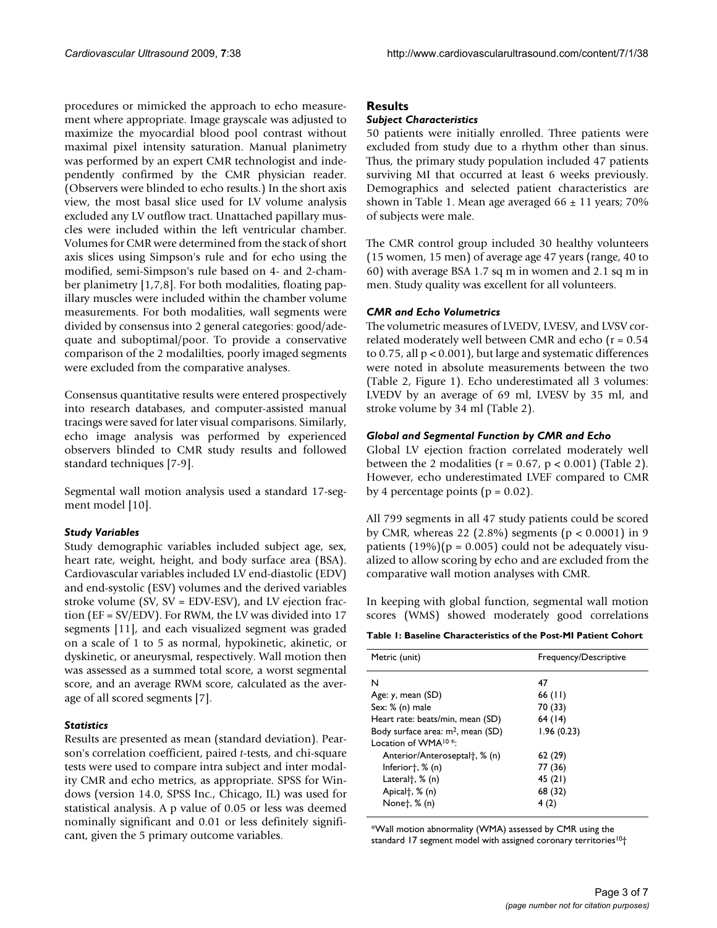procedures or mimicked the approach to echo measurement where appropriate. Image grayscale was adjusted to maximize the myocardial blood pool contrast without maximal pixel intensity saturation. Manual planimetry was performed by an expert CMR technologist and independently confirmed by the CMR physician reader. (Observers were blinded to echo results.) In the short axis view, the most basal slice used for LV volume analysis excluded any LV outflow tract. Unattached papillary muscles were included within the left ventricular chamber. Volumes for CMR were determined from the stack of short axis slices using Simpson's rule and for echo using the modified, semi-Simpson's rule based on 4- and 2-chamber planimetry [\[1](#page-5-0)[,7](#page-6-1)[,8\]](#page-6-2). For both modalities, floating papillary muscles were included within the chamber volume measurements. For both modalities, wall segments were divided by consensus into 2 general categories: good/adequate and suboptimal/poor. To provide a conservative comparison of the 2 modalilties, poorly imaged segments were excluded from the comparative analyses.

Consensus quantitative results were entered prospectively into research databases, and computer-assisted manual tracings were saved for later visual comparisons. Similarly, echo image analysis was performed by experienced observers blinded to CMR study results and followed standard techniques [[7](#page-6-1)[-9\]](#page-6-3).

Segmental wall motion analysis used a standard 17-segment model [[10\]](#page-6-4).

## *Study Variables*

Study demographic variables included subject age, sex, heart rate, weight, height, and body surface area (BSA). Cardiovascular variables included LV end-diastolic (EDV) and end-systolic (ESV) volumes and the derived variables stroke volume (SV, SV = EDV-ESV), and LV ejection fraction (EF = SV/EDV). For RWM, the LV was divided into 17 segments [\[11\]](#page-6-5), and each visualized segment was graded on a scale of 1 to 5 as normal, hypokinetic, akinetic, or dyskinetic, or aneurysmal, respectively. Wall motion then was assessed as a summed total score, a worst segmental score, and an average RWM score, calculated as the average of all scored segments [[7](#page-6-1)].

### *Statistics*

Results are presented as mean (standard deviation). Pearson's correlation coefficient, paired *t*-tests, and chi-square tests were used to compare intra subject and inter modality CMR and echo metrics, as appropriate. SPSS for Windows (version 14.0, SPSS Inc., Chicago, IL) was used for statistical analysis. A p value of 0.05 or less was deemed nominally significant and 0.01 or less definitely significant, given the 5 primary outcome variables.

## **Results**

#### *Subject Characteristics*

50 patients were initially enrolled. Three patients were excluded from study due to a rhythm other than sinus. Thus, the primary study population included 47 patients surviving MI that occurred at least 6 weeks previously. Demographics and selected patient characteristics are shown in Table [1](#page-2-0). Mean age averaged  $66 \pm 11$  years; 70% of subjects were male.

The CMR control group included 30 healthy volunteers (15 women, 15 men) of average age 47 years (range, 40 to 60) with average BSA 1.7 sq m in women and 2.1 sq m in men. Study quality was excellent for all volunteers.

## *CMR and Echo Volumetrics*

The volumetric measures of LVEDV, LVESV, and LVSV correlated moderately well between CMR and echo  $(r = 0.54)$ to 0.75, all p < 0.001), but large and systematic differences were noted in absolute measurements between the two (Table [2,](#page-3-0) Figure [1\)](#page-3-1). Echo underestimated all 3 volumes: LVEDV by an average of 69 ml, LVESV by 35 ml, and stroke volume by 34 ml (Table [2](#page-3-0)).

### *Global and Segmental Function by CMR and Echo*

Global LV ejection fraction correlated moderately well between the 2 modalities ( $r = 0.67$ ,  $p < 0.001$ ) (Table [2\)](#page-3-0). However, echo underestimated LVEF compared to CMR by 4 percentage points ( $p = 0.02$ ).

All 799 segments in all 47 study patients could be scored by CMR, whereas 22 (2.8%) segments (p < 0.0001) in 9 patients  $(19%)(p = 0.005)$  could not be adequately visualized to allow scoring by echo and are excluded from the comparative wall motion analyses with CMR.

In keeping with global function, segmental wall motion scores (WMS) showed moderately good correlations

<span id="page-2-0"></span>**Table 1: Baseline Characteristics of the Post-MI Patient Cohort**

| Metric (unit)                                 | <b>Frequency/Descriptive</b> |  |  |
|-----------------------------------------------|------------------------------|--|--|
| N                                             | 47                           |  |  |
| Age: y, mean (SD)                             | 66 (II)                      |  |  |
| Sex: % (n) male                               | 70 (33)                      |  |  |
| Heart rate: beats/min, mean (SD)              | 64 (14)                      |  |  |
| Body surface area: m <sup>2</sup> , mean (SD) | 1.96(0.23)                   |  |  |
| Location of WMA $10$ <sup>*</sup>             |                              |  |  |
| Anterior/Anteroseptal†, % (n)                 | 62(29)                       |  |  |
| Inferior†, $%$ (n)                            | 77 (36)                      |  |  |
| Lateral†, $%$ (n)                             | 45(21)                       |  |  |
| Apical <sup>+</sup> , % (n)                   | 68 (32)                      |  |  |
| Nonet, % (n)                                  | 4 (2)                        |  |  |

\*Wall motion abnormality (WMA) assessed by CMR using the standard 17 segment model with assigned coronary territories<sup>10+</sup>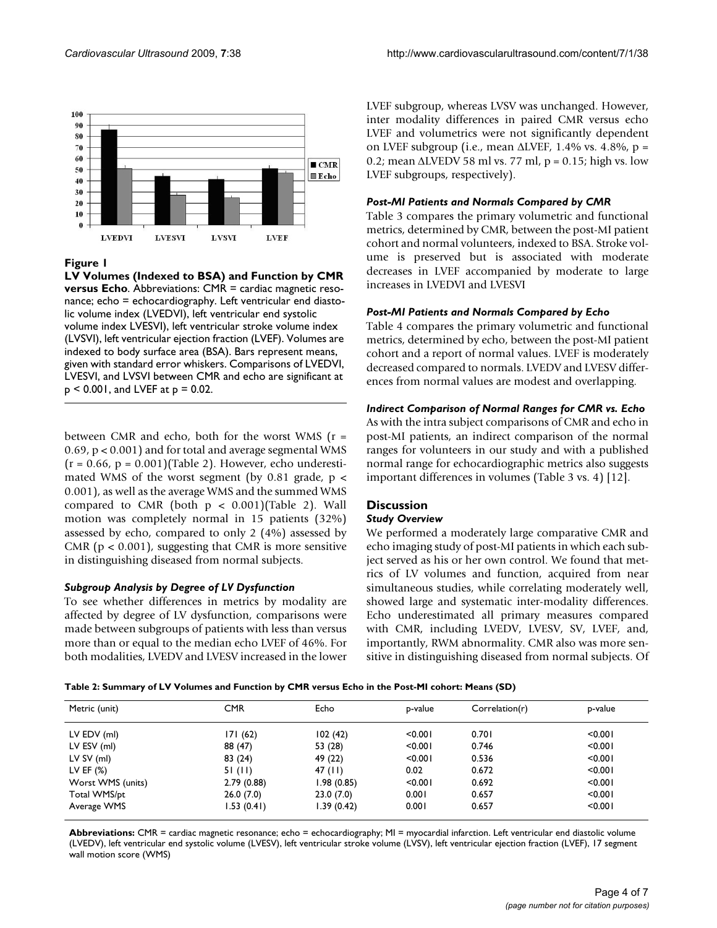<span id="page-3-1"></span>

## Figure 1

**LV Volumes (Indexed to BSA) and Function by CMR versus Echo.** Abbreviations: CMR = cardiac magnetic resonance; echo = echocardiography. Left ventricular end diastolic volume index (LVEDVI), left ventricular end systolic volume index LVESVI), left ventricular stroke volume index (LVSVI), left ventricular ejection fraction (LVEF). Volumes are indexed to body surface area (BSA). Bars represent means, given with standard error whiskers. Comparisons of LVEDVI, LVESVI, and LVSVI between CMR and echo are significant at  $p < 0.001$ , and LVEF at  $p = 0.02$ .

between CMR and echo, both for the worst WMS (r = 0.69, p < 0.001) and for total and average segmental WMS  $(r = 0.66, p = 0.001)$ (Table [2](#page-3-0)). However, echo underestimated WMS of the worst segment (by 0.81 grade,  $p \lt \theta$ 0.001), as well as the average WMS and the summed WMS compared to CMR (both  $p < 0.001$ )(Table [2](#page-3-0)). Wall motion was completely normal in 15 patients (32%) assessed by echo, compared to only 2 (4%) assessed by CMR ( $p < 0.001$ ), suggesting that CMR is more sensitive in distinguishing diseased from normal subjects.

## *Subgroup Analysis by Degree of LV Dysfunction*

To see whether differences in metrics by modality are affected by degree of LV dysfunction, comparisons were made between subgroups of patients with less than versus more than or equal to the median echo LVEF of 46%. For both modalities, LVEDV and LVESV increased in the lower LVEF subgroup, whereas LVSV was unchanged. However, inter modality differences in paired CMR versus echo LVEF and volumetrics were not significantly dependent on LVEF subgroup (i.e., mean  $\triangle$ LVEF, 1.4% vs. 4.8%, p = 0.2; mean  $\triangle$ LVEDV 58 ml vs. 77 ml, p = 0.15; high vs. low LVEF subgroups, respectively).

## *Post-MI Patients and Normals Compared by CMR*

Table [3](#page-4-0) compares the primary volumetric and functional metrics, determined by CMR, between the post-MI patient cohort and normal volunteers, indexed to BSA. Stroke volume is preserved but is associated with moderate decreases in LVEF accompanied by moderate to large increases in LVEDVI and LVESVI

## *Post-MI Patients and Normals Compared by Echo*

Table [4](#page-4-1) compares the primary volumetric and functional metrics, determined by echo, between the post-MI patient cohort and a report of normal values. LVEF is moderately decreased compared to normals. LVEDV and LVESV differences from normal values are modest and overlapping.

## *Indirect Comparison of Normal Ranges for CMR vs. Echo*

As with the intra subject comparisons of CMR and echo in post-MI patients, an indirect comparison of the normal ranges for volunteers in our study and with a published normal range for echocardiographic metrics also suggests important differences in volumes (Table [3](#page-4-0) vs. [4\)](#page-4-1) [[12\]](#page-6-6).

## **Discussion**

## *Study Overview*

We performed a moderately large comparative CMR and echo imaging study of post-MI patients in which each subject served as his or her own control. We found that metrics of LV volumes and function, acquired from near simultaneous studies, while correlating moderately well, showed large and systematic inter-modality differences. Echo underestimated all primary measures compared with CMR, including LVEDV, LVESV, SV, LVEF, and, importantly, RWM abnormality. CMR also was more sensitive in distinguishing diseased from normal subjects. Of

<span id="page-3-0"></span>**Table 2: Summary of LV Volumes and Function by CMR versus Echo in the Post-MI cohort: Means (SD)**

| Metric (unit)     | <b>CMR</b> | Echo       | p-value | Correlation(r) | p-value |
|-------------------|------------|------------|---------|----------------|---------|
| LV EDV (ml)       | 171(62)    | 102(42)    | < 0.001 | 0.701          | < 0.001 |
| LV ESV (ml)       | 88 (47)    | 53 (28)    | < 0.001 | 0.746          | < 0.001 |
| $LV SV$ (ml)      | 83 (24)    | 49 (22)    | < 0.001 | 0.536          | < 0.001 |
| LV EF $(\%)$      | 51 (11)    | 47 $(11)$  | 0.02    | 0.672          | < 0.001 |
| Worst WMS (units) | 2.79(0.88) | 1.98(0.85) | < 0.001 | 0.692          | < 0.001 |
| Total WMS/pt      | 26.0(7.0)  | 23.0(7.0)  | 0.001   | 0.657          | < 0.001 |
| Average WMS       | 1.53(0.41) | 1.39(0.42) | 0.001   | 0.657          | < 0.001 |

**Abbreviations:** CMR = cardiac magnetic resonance; echo = echocardiography; MI = myocardial infarction. Left ventricular end diastolic volume (LVEDV), left ventricular end systolic volume (LVESV), left ventricular stroke volume (LVSV), left ventricular ejection fraction (LVEF), 17 segment wall motion score (WMS)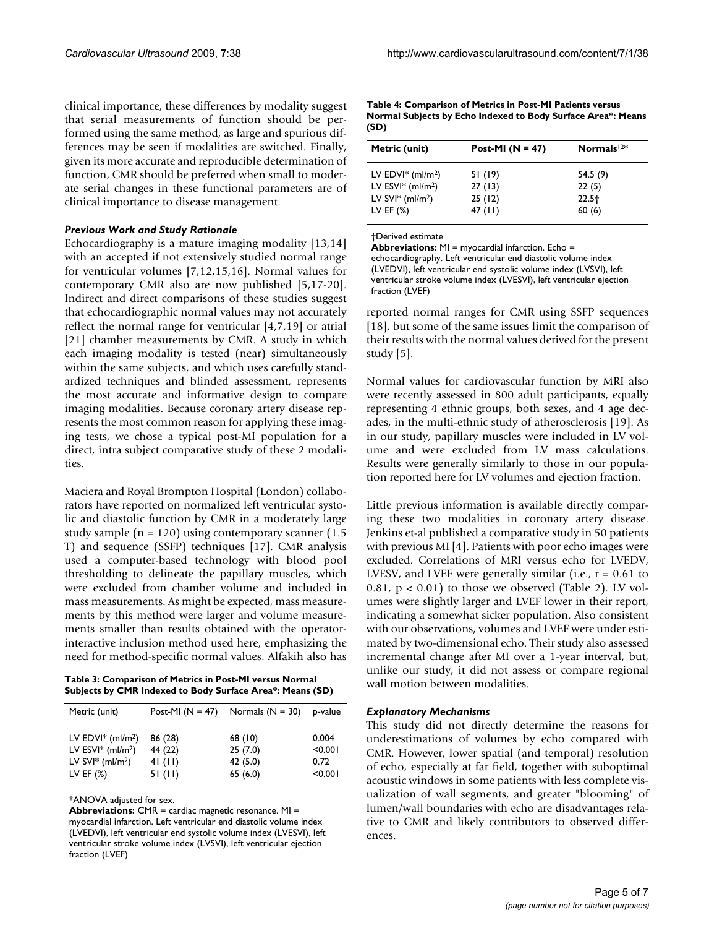clinical importance, these differences by modality suggest that serial measurements of function should be performed using the same method, as large and spurious differences may be seen if modalities are switched. Finally, given its more accurate and reproducible determination of function, CMR should be preferred when small to moderate serial changes in these functional parameters are of clinical importance to disease management.

#### *Previous Work and Study Rationale*

Echocardiography is a mature imaging modality [[13](#page-6-7),[14\]](#page-6-8) with an accepted if not extensively studied normal range for ventricular volumes [[7](#page-6-1)[,12](#page-6-6),[15,](#page-6-9)[16\]](#page-6-10). Normal values for contemporary CMR also are now published [\[5](#page-5-3)[,17](#page-6-11)[-20](#page-6-12)]. Indirect and direct comparisons of these studies suggest that echocardiographic normal values may not accurately reflect the normal range for ventricular [[4](#page-5-2),[7](#page-6-1),[19](#page-6-13)] or atrial [[21](#page-6-14)] chamber measurements by CMR. A study in which each imaging modality is tested (near) simultaneously within the same subjects, and which uses carefully standardized techniques and blinded assessment, represents the most accurate and informative design to compare imaging modalities. Because coronary artery disease represents the most common reason for applying these imaging tests, we chose a typical post-MI population for a direct, intra subject comparative study of these 2 modalities.

Maciera and Royal Brompton Hospital (London) collaborators have reported on normalized left ventricular systolic and diastolic function by CMR in a moderately large study sample ( $n = 120$ ) using contemporary scanner (1.5) T) and sequence (SSFP) techniques [[17](#page-6-11)]. CMR analysis used a computer-based technology with blood pool thresholding to delineate the papillary muscles, which were excluded from chamber volume and included in mass measurements. As might be expected, mass measurements by this method were larger and volume measurements smaller than results obtained with the operatorinteractive inclusion method used here, emphasizing the need for method-specific normal values. Alfakih also has

<span id="page-4-0"></span>**Table 3: Comparison of Metrics in Post-MI versus Normal Subjects by CMR Indexed to Body Surface Area\*: Means (SD)**

| Metric (unit)                                                                                                                    | Post-MI $(N = 47)$                       | Normals $(N = 30)$                        | p-value                             |
|----------------------------------------------------------------------------------------------------------------------------------|------------------------------------------|-------------------------------------------|-------------------------------------|
| LV EDVI <sup>*</sup> (ml/m <sup>2</sup> )<br>LV ESVI $*$ (ml/m <sup>2</sup> )<br>LV SVI $*$ (ml/m <sup>2</sup> )<br>LV EF $(\%)$ | 86 (28)<br>44 (22)<br>41 (11)<br>51 (11) | 68 (10)<br>25(7.0)<br>42 (5.0)<br>65(6.0) | 0.004<br>< 0.001<br>0.72<br>< 0.001 |

\*ANOVA adjusted for sex.

**Abbreviations:** CMR = cardiac magnetic resonance. MI = myocardial infarction. Left ventricular end diastolic volume index (LVEDVI), left ventricular end systolic volume index (LVESVI), left ventricular stroke volume index (LVSVI), left ventricular ejection fraction (LVEF)

<span id="page-4-1"></span>**Table 4: Comparison of Metrics in Post-MI Patients versus Normal Subjects by Echo Indexed to Body Surface Area\*: Means (SD)**

| Metric (unit)                    | Post-MI $(N = 47)$ | Normals $12*$ |
|----------------------------------|--------------------|---------------|
| LV EDVI $*$ (ml/m <sup>2</sup> ) | 51 (19)            | 54.5 (9)      |
| LV ESVI $*$ (ml/m <sup>2</sup> ) | 27(13)             | 22(5)         |
| LV SVI $*$ (ml/m <sup>2</sup> )  | 25(12)             | $22.5+$       |
| LV EF $(\%)$                     | $47$ (11)          | 60(6)         |

#### †Derived estimate

**Abbreviations:** MI = myocardial infarction. Echo = echocardiography. Left ventricular end diastolic volume index (LVEDVI), left ventricular end systolic volume index (LVSVI), left ventricular stroke volume index (LVESVI), left ventricular ejection fraction (LVEF)

reported normal ranges for CMR using SSFP sequences [[18](#page-6-15)], but some of the same issues limit the comparison of their results with the normal values derived for the present study [[5](#page-5-3)].

Normal values for cardiovascular function by MRI also were recently assessed in 800 adult participants, equally representing 4 ethnic groups, both sexes, and 4 age decades, in the multi-ethnic study of atherosclerosis [[19](#page-6-13)]. As in our study, papillary muscles were included in LV volume and were excluded from LV mass calculations. Results were generally similarly to those in our population reported here for LV volumes and ejection fraction.

Little previous information is available directly comparing these two modalities in coronary artery disease. Jenkins et-al published a comparative study in 50 patients with previous MI [\[4\]](#page-5-2). Patients with poor echo images were excluded. Correlations of MRI versus echo for LVEDV, LVESV, and LVEF were generally similar (i.e.,  $r = 0.61$  to 0.81,  $p < 0.01$ ) to those we observed (Table [2](#page-3-0)). LV volumes were slightly larger and LVEF lower in their report, indicating a somewhat sicker population. Also consistent with our observations, volumes and LVEF were under estimated by two-dimensional echo. Their study also assessed incremental change after MI over a 1-year interval, but, unlike our study, it did not assess or compare regional wall motion between modalities.

### *Explanatory Mechanisms*

This study did not directly determine the reasons for underestimations of volumes by echo compared with CMR. However, lower spatial (and temporal) resolution of echo, especially at far field, together with suboptimal acoustic windows in some patients with less complete visualization of wall segments, and greater "blooming" of lumen/wall boundaries with echo are disadvantages relative to CMR and likely contributors to observed differences.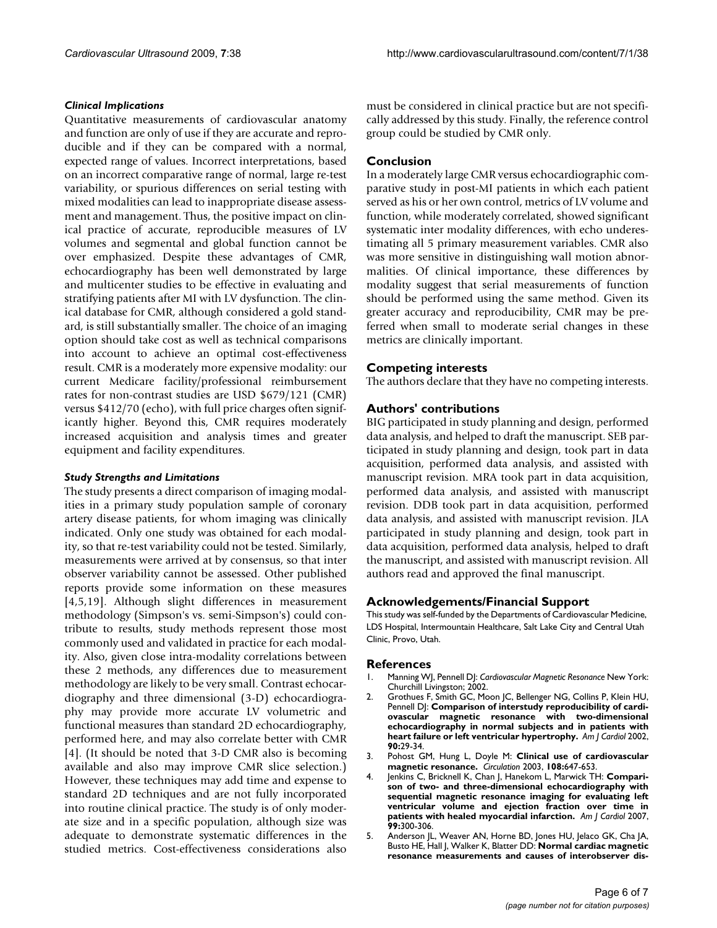### *Clinical Implications*

Quantitative measurements of cardiovascular anatomy and function are only of use if they are accurate and reproducible and if they can be compared with a normal, expected range of values. Incorrect interpretations, based on an incorrect comparative range of normal, large re-test variability, or spurious differences on serial testing with mixed modalities can lead to inappropriate disease assessment and management. Thus, the positive impact on clinical practice of accurate, reproducible measures of LV volumes and segmental and global function cannot be over emphasized. Despite these advantages of CMR, echocardiography has been well demonstrated by large and multicenter studies to be effective in evaluating and stratifying patients after MI with LV dysfunction. The clinical database for CMR, although considered a gold standard, is still substantially smaller. The choice of an imaging option should take cost as well as technical comparisons into account to achieve an optimal cost-effectiveness result. CMR is a moderately more expensive modality: our current Medicare facility/professional reimbursement rates for non-contrast studies are USD \$679/121 (CMR) versus \$412/70 (echo), with full price charges often significantly higher. Beyond this, CMR requires moderately increased acquisition and analysis times and greater equipment and facility expenditures.

### *Study Strengths and Limitations*

The study presents a direct comparison of imaging modalities in a primary study population sample of coronary artery disease patients, for whom imaging was clinically indicated. Only one study was obtained for each modality, so that re-test variability could not be tested. Similarly, measurements were arrived at by consensus, so that inter observer variability cannot be assessed. Other published reports provide some information on these measures [[4](#page-5-2)[,5](#page-5-3)[,19](#page-6-13)]. Although slight differences in measurement methodology (Simpson's vs. semi-Simpson's) could contribute to results, study methods represent those most commonly used and validated in practice for each modality. Also, given close intra-modality correlations between these 2 methods, any differences due to measurement methodology are likely to be very small. Contrast echocardiography and three dimensional (3-D) echocardiography may provide more accurate LV volumetric and functional measures than standard 2D echocardiography, performed here, and may also correlate better with CMR [[4\]](#page-5-2). (It should be noted that 3-D CMR also is becoming available and also may improve CMR slice selection.) However, these techniques may add time and expense to standard 2D techniques and are not fully incorporated into routine clinical practice. The study is of only moderate size and in a specific population, although size was adequate to demonstrate systematic differences in the studied metrics. Cost-effectiveness considerations also

must be considered in clinical practice but are not specifically addressed by this study. Finally, the reference control group could be studied by CMR only.

## **Conclusion**

In a moderately large CMR versus echocardiographic comparative study in post-MI patients in which each patient served as his or her own control, metrics of LV volume and function, while moderately correlated, showed significant systematic inter modality differences, with echo underestimating all 5 primary measurement variables. CMR also was more sensitive in distinguishing wall motion abnormalities. Of clinical importance, these differences by modality suggest that serial measurements of function should be performed using the same method. Given its greater accuracy and reproducibility, CMR may be preferred when small to moderate serial changes in these metrics are clinically important.

### **Competing interests**

The authors declare that they have no competing interests.

## **Authors' contributions**

BIG participated in study planning and design, performed data analysis, and helped to draft the manuscript. SEB participated in study planning and design, took part in data acquisition, performed data analysis, and assisted with manuscript revision. MRA took part in data acquisition, performed data analysis, and assisted with manuscript revision. DDB took part in data acquisition, performed data analysis, and assisted with manuscript revision. JLA participated in study planning and design, took part in data acquisition, performed data analysis, helped to draft the manuscript, and assisted with manuscript revision. All authors read and approved the final manuscript.

### **Acknowledgements/Financial Support**

This study was self-funded by the Departments of Cardiovascular Medicine, LDS Hospital, Intermountain Healthcare, Salt Lake City and Central Utah Clinic, Provo, Utah.

#### **References**

- <span id="page-5-0"></span>1. Manning WJ, Pennell DJ: *Cardiovascular Magnetic Resonance* New York: Churchill Livingston; 2002.
- 2. Grothues F, Smith GC, Moon JC, Bellenger NG, Collins P, Klein HU, Pennell DJ: **[Comparison of interstudy reproducibility of cardi](http://www.ncbi.nlm.nih.gov/entrez/query.fcgi?cmd=Retrieve&db=PubMed&dopt=Abstract&list_uids=12088775)[ovascular magnetic resonance with two-dimensional](http://www.ncbi.nlm.nih.gov/entrez/query.fcgi?cmd=Retrieve&db=PubMed&dopt=Abstract&list_uids=12088775) echocardiography in normal subjects and in patients with [heart failure or left ventricular hypertrophy.](http://www.ncbi.nlm.nih.gov/entrez/query.fcgi?cmd=Retrieve&db=PubMed&dopt=Abstract&list_uids=12088775)** *Am J Cardiol* 2002, **90:**29-34.
- <span id="page-5-1"></span>3. Pohost GM, Hung L, Doyle M: **[Clinical use of cardiovascular](http://www.ncbi.nlm.nih.gov/entrez/query.fcgi?cmd=Retrieve&db=PubMed&dopt=Abstract&list_uids=12912794) [magnetic resonance.](http://www.ncbi.nlm.nih.gov/entrez/query.fcgi?cmd=Retrieve&db=PubMed&dopt=Abstract&list_uids=12912794)** *Circulation* 2003, **108:**647-653.
- <span id="page-5-2"></span>4. Jenkins C, Bricknell K, Chan J, Hanekom L, Marwick TH: **[Compari](http://www.ncbi.nlm.nih.gov/entrez/query.fcgi?cmd=Retrieve&db=PubMed&dopt=Abstract&list_uids=17261386)[son of two- and three-dimensional echocardiography with](http://www.ncbi.nlm.nih.gov/entrez/query.fcgi?cmd=Retrieve&db=PubMed&dopt=Abstract&list_uids=17261386) sequential magnetic resonance imaging for evaluating left ventricular volume and ejection fraction over time in [patients with healed myocardial infarction.](http://www.ncbi.nlm.nih.gov/entrez/query.fcgi?cmd=Retrieve&db=PubMed&dopt=Abstract&list_uids=17261386)** *Am J Cardiol* 2007, **99:**300-306.
- <span id="page-5-3"></span>5. Anderson JL, Weaver AN, Horne BD, Jones HU, Jelaco GK, Cha JA, Busto HE, Hall J, Walker K, Blatter DD: **Normal cardiac magnetic resonance measurements and causes of interobserver dis-**